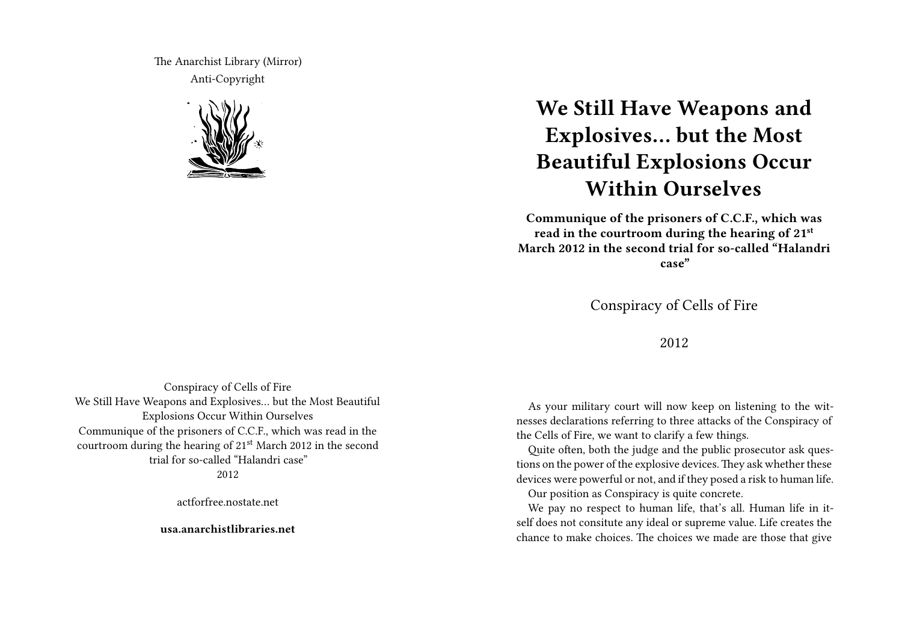The Anarchist Library (Mirror) Anti-Copyright



## **We Still Have Weapons and Explosives… but the Most Beautiful Explosions Occur Within Ourselves**

**Communique of the prisoners of C.C.F., which was read in the courtroom during the hearing of 21st March 2012 in the second trial for so-called "Halandri case"**

Conspiracy of Cells of Fire

2012

Conspiracy of Cells of Fire We Still Have Weapons and Explosives… but the Most Beautiful Explosions Occur Within Ourselves Communique of the prisoners of C.C.F., which was read in the courtroom during the hearing of  $21<sup>st</sup>$  March 2012 in the second trial for so-called "Halandri case" 2012

actforfree.nostate.net

**usa.anarchistlibraries.net**

As your military court will now keep on listening to the witnesses declarations referring to three attacks of the Conspiracy of the Cells of Fire, we want to clarify a few things.

Quite often, both the judge and the public prosecutor ask questions on the power of the explosive devices.They ask whether these devices were powerful or not, and if they posed a risk to human life.

Our position as Conspiracy is quite concrete.

We pay no respect to human life, that's all. Human life in itself does not consitute any ideal or supreme value. Life creates the chance to make choices. The choices we made are those that give